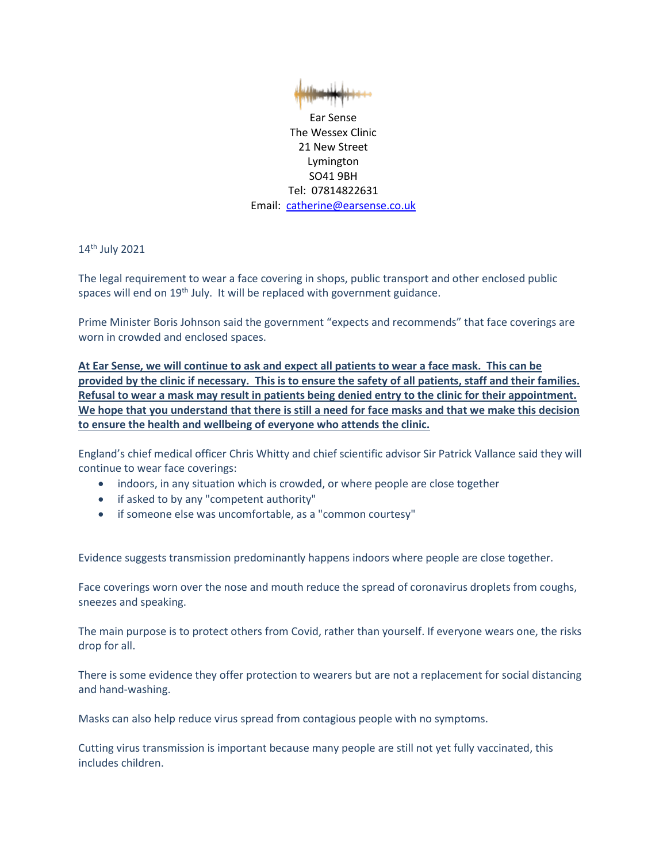

Ear Sense The Wessex Clinic 21 New Street Lymington SO41 9BH Tel: 07814822631 Email: [catherine@earsense.co.uk](mailto:catherine@earsense.co.uk)

14th July 2021

The legal requirement to wear a face covering in shops, public transport and other enclosed public spaces will end on 19<sup>th</sup> July. It will be replaced with government guidance.

Prime Minister Boris Johnson said the government "expects and recommends" that face coverings are worn in crowded and enclosed spaces.

**At Ear Sense, we will continue to ask and expect all patients to wear a face mask. This can be provided by the clinic if necessary. This is to ensure the safety of all patients, staff and their families. Refusal to wear a mask may result in patients being denied entry to the clinic for their appointment. We hope that you understand that there is still a need for face masks and that we make this decision to ensure the health and wellbeing of everyone who attends the clinic.**

England's chief medical officer Chris Whitty and chief scientific advisor Sir Patrick Vallance said they will continue to wear face coverings:

- indoors, in any situation which is crowded, or where people are close together
- if asked to by any "competent authority"
- if someone else was uncomfortable, as a "common courtesy"

Evidence suggests transmission predominantly happens indoors where people are close together.

Face coverings worn over the nose and mouth reduce the spread of coronavirus droplets from coughs, sneezes and speaking.

The main purpose is to protect others from Covid, rather than yourself. If everyone wears one, the risks drop for all.

There is some evidence they offer protection to wearers but are not a replacement for social distancing and hand-washing.

Masks can also help reduce virus spread from contagious people with no symptoms.

Cutting virus transmission is important because many people are still not yet fully vaccinated, this includes children.